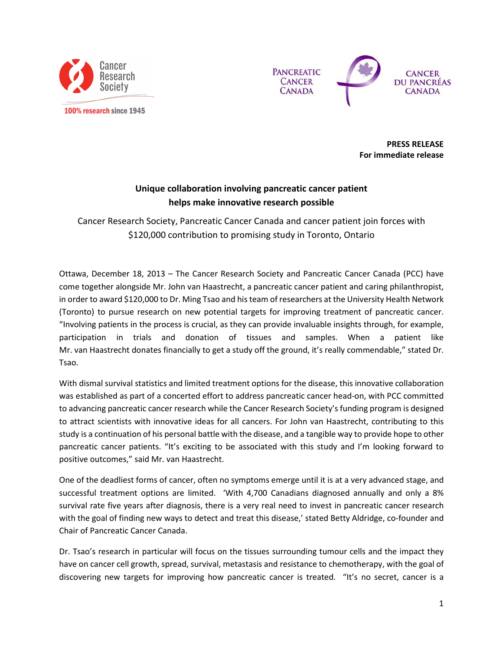



**PRESS RELEASE** For immediate release

## Unique collaboration involving pancreatic cancer patient helps make innovative research possible

Cancer Research Society, Pancreatic Cancer Canada and cancer patient join forces with \$120,000 contribution to promising study in Toronto, Ontario

Ottawa, December 18, 2013 - The Cancer Research Society and Pancreatic Cancer Canada (PCC) have come together alongside Mr. John van Haastrecht, a pancreatic cancer patient and caring philanthropist, in order to award \$120,000 to Dr. Ming Tsao and his team of researchers at the University Health Network (Toronto) to pursue research on new potential targets for improving treatment of pancreatic cancer. "Involving patients in the process is crucial, as they can provide invaluable insights through, for example, participation in trials and donation of tissues and samples. When a patient like Mr. van Haastrecht donates financially to get a study off the ground, it's really commendable," stated Dr. Tsao.

With dismal survival statistics and limited treatment options for the disease, this innovative collaboration was established as part of a concerted effort to address pancreatic cancer head-on, with PCC committed to advancing pancreatic cancer research while the Cancer Research Society's funding program is designed to attract scientists with innovative ideas for all cancers. For John van Haastrecht, contributing to this study is a continuation of his personal battle with the disease, and a tangible way to provide hope to other pancreatic cancer patients. "It's exciting to be associated with this study and I'm looking forward to positive outcomes," said Mr. van Haastrecht.

One of the deadliest forms of cancer, often no symptoms emerge until it is at a very advanced stage, and successful treatment options are limited. 'With 4,700 Canadians diagnosed annually and only a 8% survival rate five years after diagnosis, there is a very real need to invest in pancreatic cancer research with the goal of finding new ways to detect and treat this disease,' stated Betty Aldridge, co-founder and Chair of Pancreatic Cancer Canada.

Dr. Tsao's research in particular will focus on the tissues surrounding tumour cells and the impact they have on cancer cell growth, spread, survival, metastasis and resistance to chemotherapy, with the goal of discovering new targets for improving how pancreatic cancer is treated. "It's no secret, cancer is a